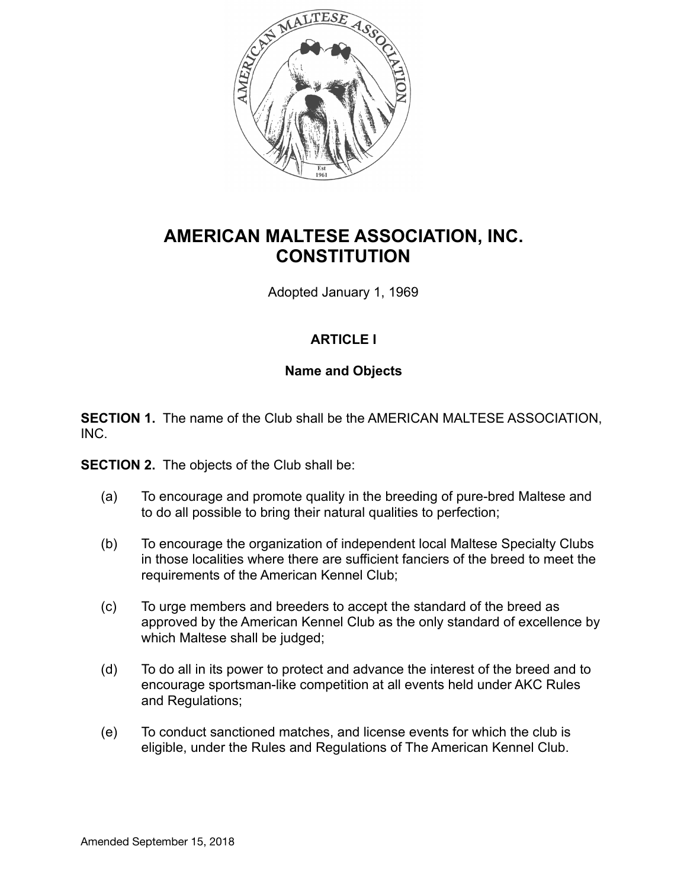

# **AMERICAN MALTESE ASSOCIATION, INC. CONSTITUTION**

Adopted January 1, 1969

# **ARTICLE I**

## **Name and Objects**

**SECTION 1.** The name of the Club shall be the AMERICAN MALTESE ASSOCIATION, INC.

**SECTION 2.** The objects of the Club shall be:

- (a) To encourage and promote quality in the breeding of pure-bred Maltese and to do all possible to bring their natural qualities to perfection;
- (b) To encourage the organization of independent local Maltese Specialty Clubs in those localities where there are sufficient fanciers of the breed to meet the requirements of the American Kennel Club;
- (c) To urge members and breeders to accept the standard of the breed as approved by the American Kennel Club as the only standard of excellence by which Maltese shall be judged;
- (d) To do all in its power to protect and advance the interest of the breed and to encourage sportsman-like competition at all events held under AKC Rules and Regulations;
- (e) To conduct sanctioned matches, and license events for which the club is eligible, under the Rules and Regulations of The American Kennel Club.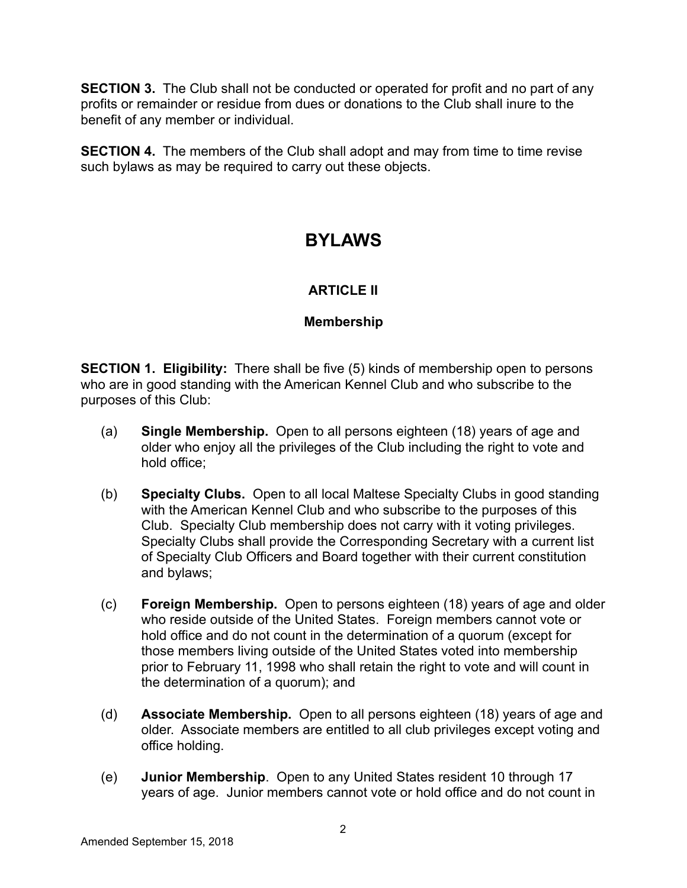**SECTION 3.** The Club shall not be conducted or operated for profit and no part of any profits or remainder or residue from dues or donations to the Club shall inure to the benefit of any member or individual.

**SECTION 4.** The members of the Club shall adopt and may from time to time revise such bylaws as may be required to carry out these objects.

# **BYLAWS**

# **ARTICLE II**

# **Membership**

**SECTION 1. Eligibility:** There shall be five (5) kinds of membership open to persons who are in good standing with the American Kennel Club and who subscribe to the purposes of this Club:

- (a) **Single Membership.** Open to all persons eighteen (18) years of age and older who enjoy all the privileges of the Club including the right to vote and hold office;
- (b) **Specialty Clubs.** Open to all local Maltese Specialty Clubs in good standing with the American Kennel Club and who subscribe to the purposes of this Club. Specialty Club membership does not carry with it voting privileges. Specialty Clubs shall provide the Corresponding Secretary with a current list of Specialty Club Officers and Board together with their current constitution and bylaws;
- (c) **Foreign Membership.** Open to persons eighteen (18) years of age and older who reside outside of the United States. Foreign members cannot vote or hold office and do not count in the determination of a quorum (except for those members living outside of the United States voted into membership prior to February 11, 1998 who shall retain the right to vote and will count in the determination of a quorum); and
- (d) **Associate Membership.** Open to all persons eighteen (18) years of age and older. Associate members are entitled to all club privileges except voting and office holding.
- (e) **Junior Membership**. Open to any United States resident 10 through 17 years of age. Junior members cannot vote or hold office and do not count in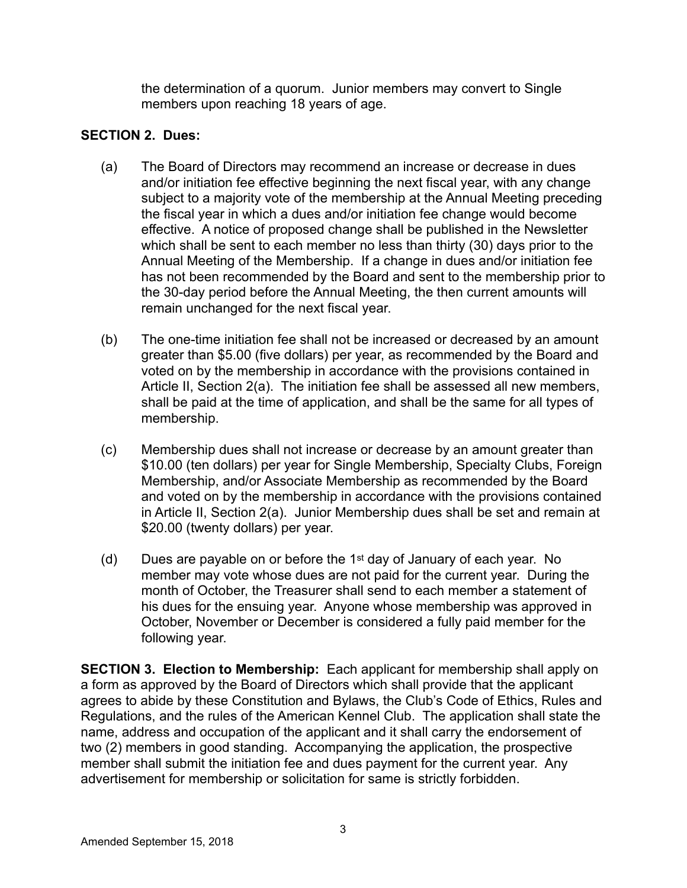the determination of a quorum. Junior members may convert to Single members upon reaching 18 years of age.

# **SECTION 2. Dues:**

- (a) The Board of Directors may recommend an increase or decrease in dues and/or initiation fee effective beginning the next fiscal year, with any change subject to a majority vote of the membership at the Annual Meeting preceding the fiscal year in which a dues and/or initiation fee change would become effective. A notice of proposed change shall be published in the Newsletter which shall be sent to each member no less than thirty (30) days prior to the Annual Meeting of the Membership. If a change in dues and/or initiation fee has not been recommended by the Board and sent to the membership prior to the 30-day period before the Annual Meeting, the then current amounts will remain unchanged for the next fiscal year.
- (b) The one-time initiation fee shall not be increased or decreased by an amount greater than \$5.00 (five dollars) per year, as recommended by the Board and voted on by the membership in accordance with the provisions contained in Article II, Section 2(a). The initiation fee shall be assessed all new members, shall be paid at the time of application, and shall be the same for all types of membership.
- (c) Membership dues shall not increase or decrease by an amount greater than \$10.00 (ten dollars) per year for Single Membership, Specialty Clubs, Foreign Membership, and/or Associate Membership as recommended by the Board and voted on by the membership in accordance with the provisions contained in Article II, Section 2(a). Junior Membership dues shall be set and remain at \$20.00 (twenty dollars) per year.
- (d) Dues are payable on or before the 1st day of January of each year. No member may vote whose dues are not paid for the current year. During the month of October, the Treasurer shall send to each member a statement of his dues for the ensuing year. Anyone whose membership was approved in October, November or December is considered a fully paid member for the following year.

**SECTION 3. Election to Membership:** Each applicant for membership shall apply on a form as approved by the Board of Directors which shall provide that the applicant agrees to abide by these Constitution and Bylaws, the Club's Code of Ethics, Rules and Regulations, and the rules of the American Kennel Club. The application shall state the name, address and occupation of the applicant and it shall carry the endorsement of two (2) members in good standing. Accompanying the application, the prospective member shall submit the initiation fee and dues payment for the current year. Any advertisement for membership or solicitation for same is strictly forbidden.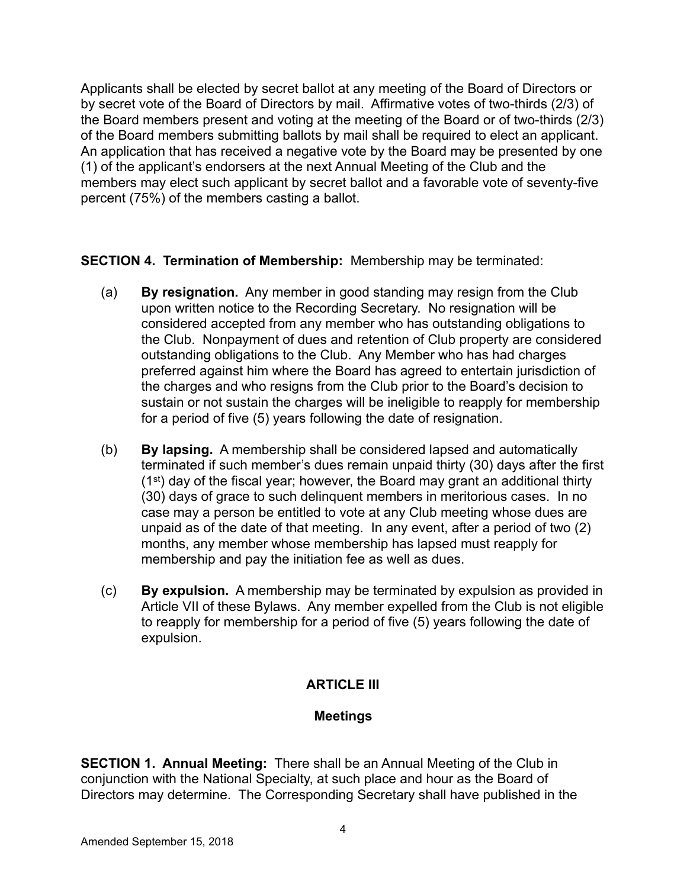Applicants shall be elected by secret ballot at any meeting of the Board of Directors or by secret vote of the Board of Directors by mail. Affirmative votes of two-thirds (2/3) of the Board members present and voting at the meeting of the Board or of two-thirds (2/3) of the Board members submitting ballots by mail shall be required to elect an applicant. An application that has received a negative vote by the Board may be presented by one (1) of the applicant's endorsers at the next Annual Meeting of the Club and the members may elect such applicant by secret ballot and a favorable vote of seventy-five percent (75%) of the members casting a ballot.

**SECTION 4. Termination of Membership:** Membership may be terminated:

- (a) **By resignation.** Any member in good standing may resign from the Club upon written notice to the Recording Secretary. No resignation will be considered accepted from any member who has outstanding obligations to the Club. Nonpayment of dues and retention of Club property are considered outstanding obligations to the Club. Any Member who has had charges preferred against him where the Board has agreed to entertain jurisdiction of the charges and who resigns from the Club prior to the Board's decision to sustain or not sustain the charges will be ineligible to reapply for membership for a period of five (5) years following the date of resignation.
- (b) **By lapsing.** A membership shall be considered lapsed and automatically terminated if such member's dues remain unpaid thirty (30) days after the first (1st) day of the fiscal year; however, the Board may grant an additional thirty (30) days of grace to such delinquent members in meritorious cases. In no case may a person be entitled to vote at any Club meeting whose dues are unpaid as of the date of that meeting. In any event, after a period of two (2) months, any member whose membership has lapsed must reapply for membership and pay the initiation fee as well as dues.
- (c) **By expulsion.** A membership may be terminated by expulsion as provided in Article VII of these Bylaws. Any member expelled from the Club is not eligible to reapply for membership for a period of five (5) years following the date of expulsion.

# **ARTICLE III**

## **Meetings**

**SECTION 1. Annual Meeting:** There shall be an Annual Meeting of the Club in conjunction with the National Specialty, at such place and hour as the Board of Directors may determine. The Corresponding Secretary shall have published in the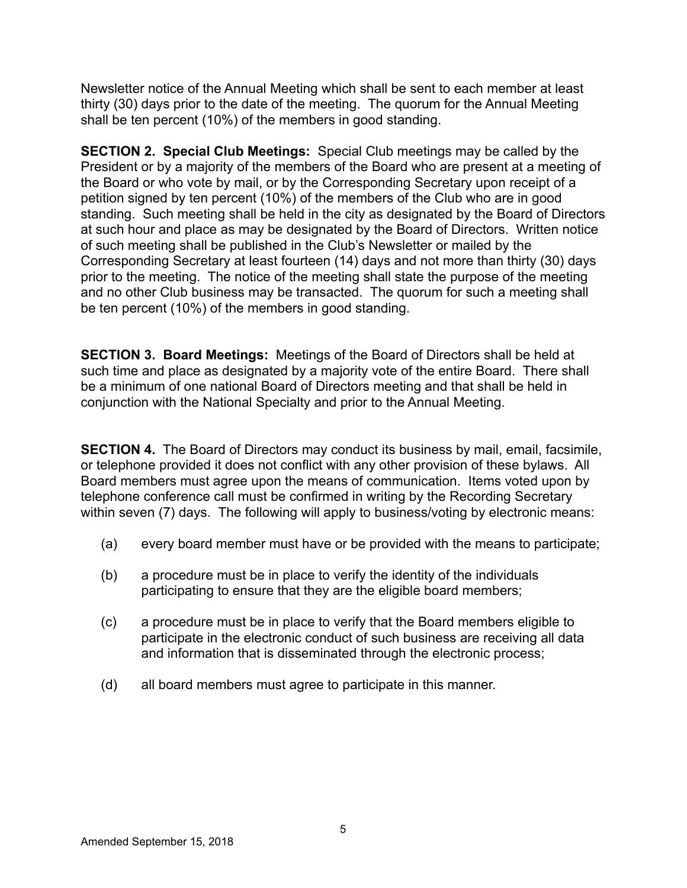Newsletter notice of the Annual Meeting which shall be sent to each member at least thirty (30) days prior to the date of the meeting. The quorum for the Annual Meeting shall be ten percent (10%) of the members in good standing.

**SECTION 2. Special Club Meetings:** Special Club meetings may be called by the President or by a majority of the members of the Board who are present at a meeting of the Board or who vote by mail, or by the Corresponding Secretary upon receipt of a petition signed by ten percent (10%) of the members of the Club who are in good standing. Such meeting shall be held in the city as designated by the Board of Directors at such hour and place as may be designated by the Board of Directors. Written notice of such meeting shall be published in the Club's Newsletter or mailed by the Corresponding Secretary at least fourteen (14) days and not more than thirty (30) days prior to the meeting. The notice of the meeting shall state the purpose of the meeting and no other Club business may be transacted. The quorum for such a meeting shall be ten percent (10%) of the members in good standing.

**SECTION 3. Board Meetings:** Meetings of the Board of Directors shall be held at such time and place as designated by a majority vote of the entire Board. There shall be a minimum of one national Board of Directors meeting and that shall be held in conjunction with the National Specialty and prior to the Annual Meeting.

**SECTION 4.** The Board of Directors may conduct its business by mail, email, facsimile, or telephone provided it does not conflict with any other provision of these bylaws. All Board members must agree upon the means of communication. Items voted upon by telephone conference call must be confirmed in writing by the Recording Secretary within seven (7) days. The following will apply to business/voting by electronic means:

- (a) every board member must have or be provided with the means to participate;
- (b) a procedure must be in place to verify the identity of the individuals participating to ensure that they are the eligible board members;
- (c) a procedure must be in place to verify that the Board members eligible to participate in the electronic conduct of such business are receiving all data and information that is disseminated through the electronic process;
- (d) all board members must agree to participate in this manner.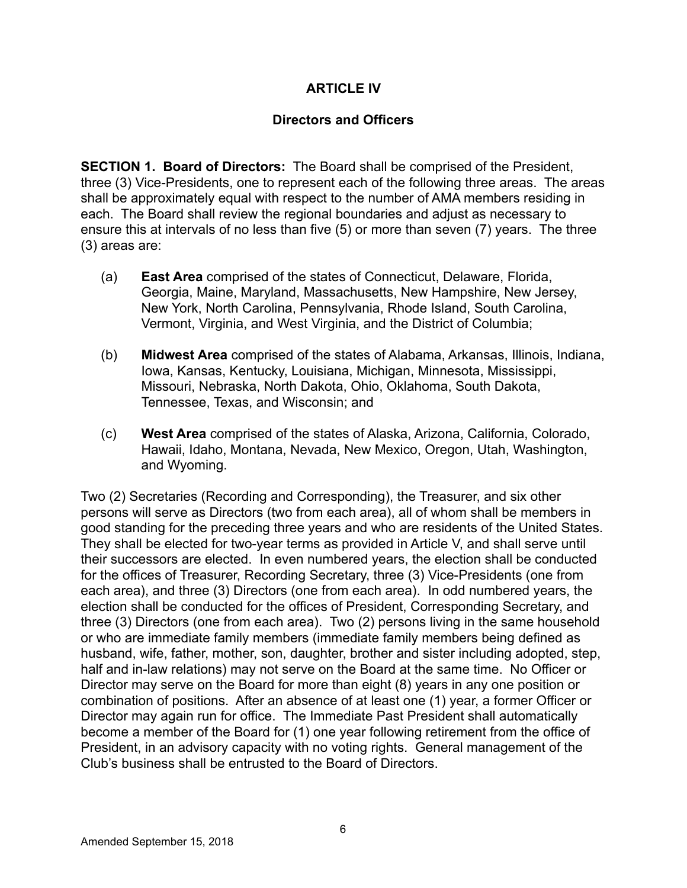## **ARTICLE IV**

#### **Directors and Officers**

**SECTION 1. Board of Directors:** The Board shall be comprised of the President, three (3) Vice-Presidents, one to represent each of the following three areas. The areas shall be approximately equal with respect to the number of AMA members residing in each. The Board shall review the regional boundaries and adjust as necessary to ensure this at intervals of no less than five (5) or more than seven (7) years. The three (3) areas are:

- (a) **East Area** comprised of the states of Connecticut, Delaware, Florida, Georgia, Maine, Maryland, Massachusetts, New Hampshire, New Jersey, New York, North Carolina, Pennsylvania, Rhode Island, South Carolina, Vermont, Virginia, and West Virginia, and the District of Columbia;
- (b) **Midwest Area** comprised of the states of Alabama, Arkansas, Illinois, Indiana, Iowa, Kansas, Kentucky, Louisiana, Michigan, Minnesota, Mississippi, Missouri, Nebraska, North Dakota, Ohio, Oklahoma, South Dakota, Tennessee, Texas, and Wisconsin; and
- (c) **West Area** comprised of the states of Alaska, Arizona, California, Colorado, Hawaii, Idaho, Montana, Nevada, New Mexico, Oregon, Utah, Washington, and Wyoming.

Two (2) Secretaries (Recording and Corresponding), the Treasurer, and six other persons will serve as Directors (two from each area), all of whom shall be members in good standing for the preceding three years and who are residents of the United States. They shall be elected for two-year terms as provided in Article V, and shall serve until their successors are elected. In even numbered years, the election shall be conducted for the offices of Treasurer, Recording Secretary, three (3) Vice-Presidents (one from each area), and three (3) Directors (one from each area). In odd numbered years, the election shall be conducted for the offices of President, Corresponding Secretary, and three (3) Directors (one from each area). Two (2) persons living in the same household or who are immediate family members (immediate family members being defined as husband, wife, father, mother, son, daughter, brother and sister including adopted, step, half and in-law relations) may not serve on the Board at the same time. No Officer or Director may serve on the Board for more than eight (8) years in any one position or combination of positions. After an absence of at least one (1) year, a former Officer or Director may again run for office. The Immediate Past President shall automatically become a member of the Board for (1) one year following retirement from the office of President, in an advisory capacity with no voting rights. General management of the Club's business shall be entrusted to the Board of Directors.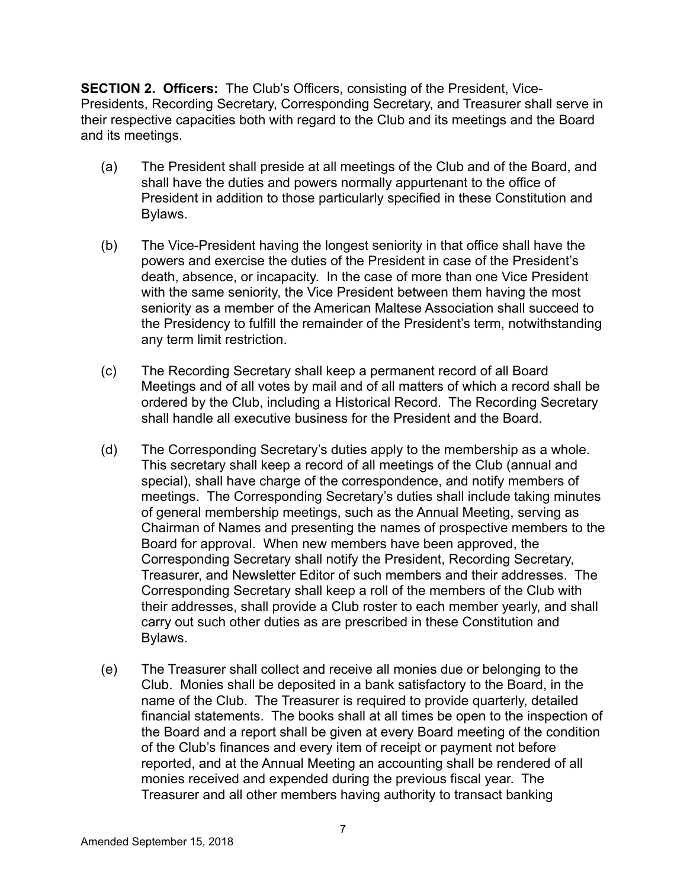**SECTION 2. Officers:** The Club's Officers, consisting of the President, Vice-Presidents, Recording Secretary, Corresponding Secretary, and Treasurer shall serve in their respective capacities both with regard to the Club and its meetings and the Board and its meetings.

- (a) The President shall preside at all meetings of the Club and of the Board, and shall have the duties and powers normally appurtenant to the office of President in addition to those particularly specified in these Constitution and Bylaws.
- (b) The Vice-President having the longest seniority in that office shall have the powers and exercise the duties of the President in case of the President's death, absence, or incapacity. In the case of more than one Vice President with the same seniority, the Vice President between them having the most seniority as a member of the American Maltese Association shall succeed to the Presidency to fulfill the remainder of the President's term, notwithstanding any term limit restriction.
- (c) The Recording Secretary shall keep a permanent record of all Board Meetings and of all votes by mail and of all matters of which a record shall be ordered by the Club, including a Historical Record. The Recording Secretary shall handle all executive business for the President and the Board.
- (d) The Corresponding Secretary's duties apply to the membership as a whole. This secretary shall keep a record of all meetings of the Club (annual and special), shall have charge of the correspondence, and notify members of meetings. The Corresponding Secretary's duties shall include taking minutes of general membership meetings, such as the Annual Meeting, serving as Chairman of Names and presenting the names of prospective members to the Board for approval. When new members have been approved, the Corresponding Secretary shall notify the President, Recording Secretary, Treasurer, and Newsletter Editor of such members and their addresses. The Corresponding Secretary shall keep a roll of the members of the Club with their addresses, shall provide a Club roster to each member yearly, and shall carry out such other duties as are prescribed in these Constitution and Bylaws.
- (e) The Treasurer shall collect and receive all monies due or belonging to the Club. Monies shall be deposited in a bank satisfactory to the Board, in the name of the Club. The Treasurer is required to provide quarterly, detailed financial statements. The books shall at all times be open to the inspection of the Board and a report shall be given at every Board meeting of the condition of the Club's finances and every item of receipt or payment not before reported, and at the Annual Meeting an accounting shall be rendered of all monies received and expended during the previous fiscal year. The Treasurer and all other members having authority to transact banking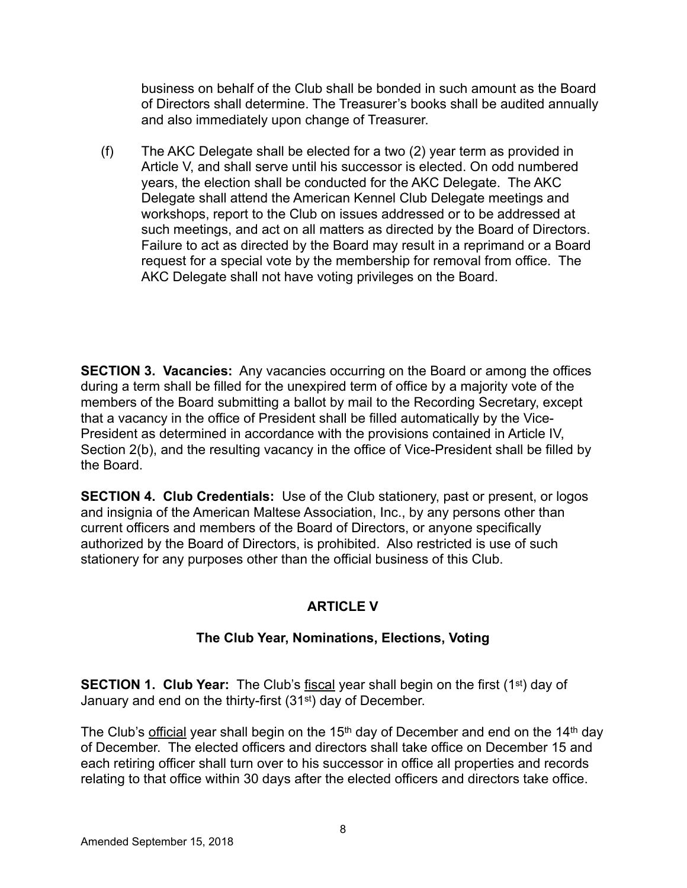business on behalf of the Club shall be bonded in such amount as the Board of Directors shall determine. The Treasurer's books shall be audited annually and also immediately upon change of Treasurer.

(f) The AKC Delegate shall be elected for a two (2) year term as provided in Article V, and shall serve until his successor is elected. On odd numbered years, the election shall be conducted for the AKC Delegate. The AKC Delegate shall attend the American Kennel Club Delegate meetings and workshops, report to the Club on issues addressed or to be addressed at such meetings, and act on all matters as directed by the Board of Directors. Failure to act as directed by the Board may result in a reprimand or a Board request for a special vote by the membership for removal from office. The AKC Delegate shall not have voting privileges on the Board.

**SECTION 3. Vacancies:** Any vacancies occurring on the Board or among the offices during a term shall be filled for the unexpired term of office by a majority vote of the members of the Board submitting a ballot by mail to the Recording Secretary, except that a vacancy in the office of President shall be filled automatically by the Vice-President as determined in accordance with the provisions contained in Article IV, Section 2(b), and the resulting vacancy in the office of Vice-President shall be filled by the Board.

**SECTION 4. Club Credentials:** Use of the Club stationery, past or present, or logos and insignia of the American Maltese Association, Inc., by any persons other than current officers and members of the Board of Directors, or anyone specifically authorized by the Board of Directors, is prohibited. Also restricted is use of such stationery for any purposes other than the official business of this Club.

# **ARTICLE V**

# **The Club Year, Nominations, Elections, Voting**

**SECTION 1. Club Year:** The Club's fiscal year shall begin on the first (1<sup>st</sup>) day of January and end on the thirty-first (31st) day of December.

The Club's official year shall begin on the 15<sup>th</sup> day of December and end on the 14<sup>th</sup> day of December. The elected officers and directors shall take office on December 15 and each retiring officer shall turn over to his successor in office all properties and records relating to that office within 30 days after the elected officers and directors take office.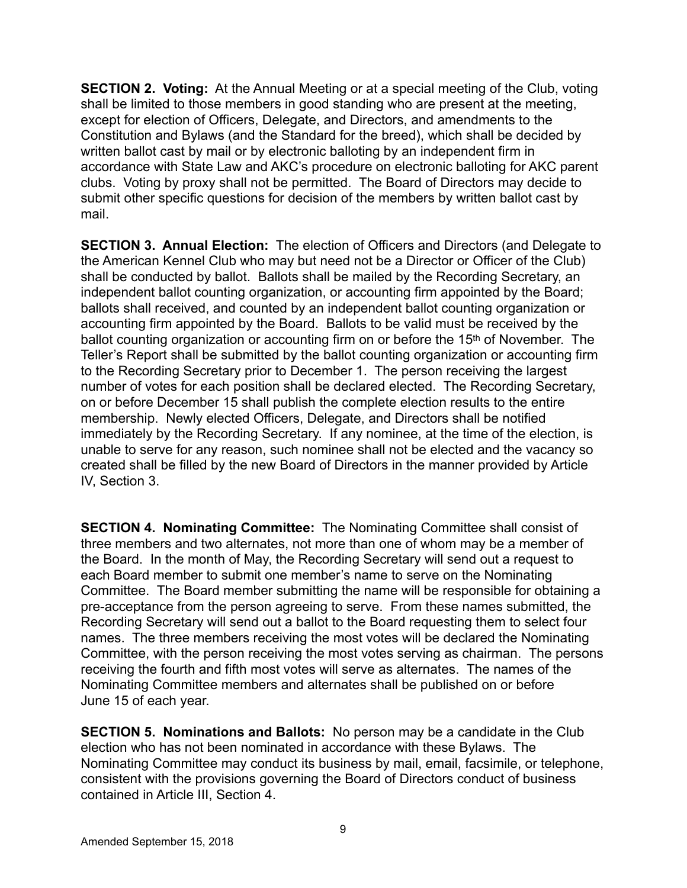**SECTION 2. Voting:** At the Annual Meeting or at a special meeting of the Club, voting shall be limited to those members in good standing who are present at the meeting, except for election of Officers, Delegate, and Directors, and amendments to the Constitution and Bylaws (and the Standard for the breed), which shall be decided by written ballot cast by mail or by electronic balloting by an independent firm in accordance with State Law and AKC's procedure on electronic balloting for AKC parent clubs. Voting by proxy shall not be permitted. The Board of Directors may decide to submit other specific questions for decision of the members by written ballot cast by mail.

**SECTION 3. Annual Election:** The election of Officers and Directors (and Delegate to the American Kennel Club who may but need not be a Director or Officer of the Club) shall be conducted by ballot. Ballots shall be mailed by the Recording Secretary, an independent ballot counting organization, or accounting firm appointed by the Board; ballots shall received, and counted by an independent ballot counting organization or accounting firm appointed by the Board. Ballots to be valid must be received by the ballot counting organization or accounting firm on or before the 15<sup>th</sup> of November. The Teller's Report shall be submitted by the ballot counting organization or accounting firm to the Recording Secretary prior to December 1. The person receiving the largest number of votes for each position shall be declared elected. The Recording Secretary, on or before December 15 shall publish the complete election results to the entire membership. Newly elected Officers, Delegate, and Directors shall be notified immediately by the Recording Secretary. If any nominee, at the time of the election, is unable to serve for any reason, such nominee shall not be elected and the vacancy so created shall be filled by the new Board of Directors in the manner provided by Article IV, Section 3.

**SECTION 4. Nominating Committee:** The Nominating Committee shall consist of three members and two alternates, not more than one of whom may be a member of the Board. In the month of May, the Recording Secretary will send out a request to each Board member to submit one member's name to serve on the Nominating Committee. The Board member submitting the name will be responsible for obtaining a pre-acceptance from the person agreeing to serve. From these names submitted, the Recording Secretary will send out a ballot to the Board requesting them to select four names. The three members receiving the most votes will be declared the Nominating Committee, with the person receiving the most votes serving as chairman. The persons receiving the fourth and fifth most votes will serve as alternates. The names of the Nominating Committee members and alternates shall be published on or before June 15 of each year.

**SECTION 5. Nominations and Ballots:** No person may be a candidate in the Club election who has not been nominated in accordance with these Bylaws. The Nominating Committee may conduct its business by mail, email, facsimile, or telephone, consistent with the provisions governing the Board of Directors conduct of business contained in Article III, Section 4.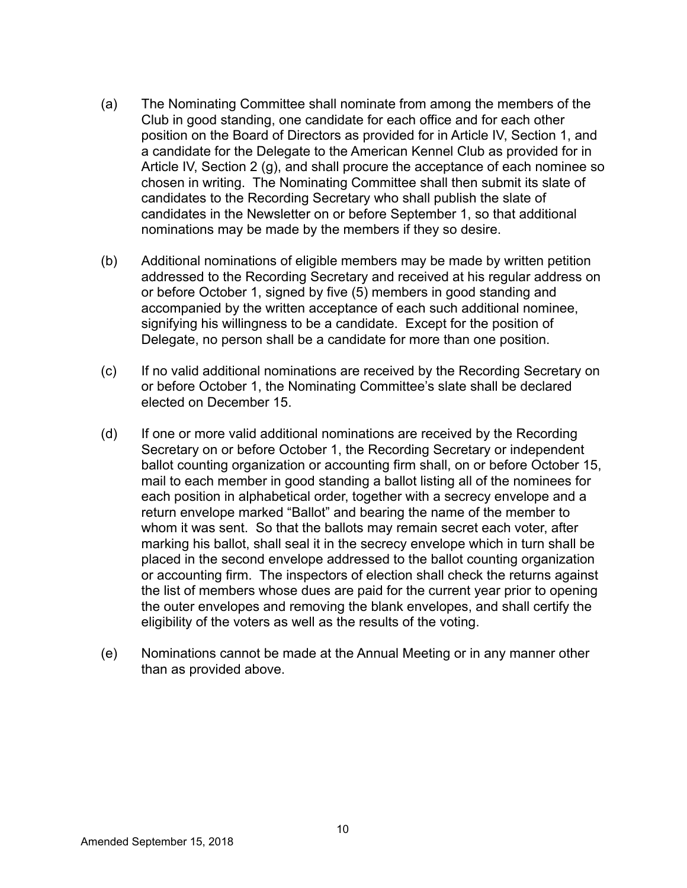- (a) The Nominating Committee shall nominate from among the members of the Club in good standing, one candidate for each office and for each other position on the Board of Directors as provided for in Article IV, Section 1, and a candidate for the Delegate to the American Kennel Club as provided for in Article IV, Section 2 (g), and shall procure the acceptance of each nominee so chosen in writing. The Nominating Committee shall then submit its slate of candidates to the Recording Secretary who shall publish the slate of candidates in the Newsletter on or before September 1, so that additional nominations may be made by the members if they so desire.
- (b) Additional nominations of eligible members may be made by written petition addressed to the Recording Secretary and received at his regular address on or before October 1, signed by five (5) members in good standing and accompanied by the written acceptance of each such additional nominee, signifying his willingness to be a candidate. Except for the position of Delegate, no person shall be a candidate for more than one position.
- (c) If no valid additional nominations are received by the Recording Secretary on or before October 1, the Nominating Committee's slate shall be declared elected on December 15.
- (d) If one or more valid additional nominations are received by the Recording Secretary on or before October 1, the Recording Secretary or independent ballot counting organization or accounting firm shall, on or before October 15, mail to each member in good standing a ballot listing all of the nominees for each position in alphabetical order, together with a secrecy envelope and a return envelope marked "Ballot" and bearing the name of the member to whom it was sent. So that the ballots may remain secret each voter, after marking his ballot, shall seal it in the secrecy envelope which in turn shall be placed in the second envelope addressed to the ballot counting organization or accounting firm. The inspectors of election shall check the returns against the list of members whose dues are paid for the current year prior to opening the outer envelopes and removing the blank envelopes, and shall certify the eligibility of the voters as well as the results of the voting.
- (e) Nominations cannot be made at the Annual Meeting or in any manner other than as provided above.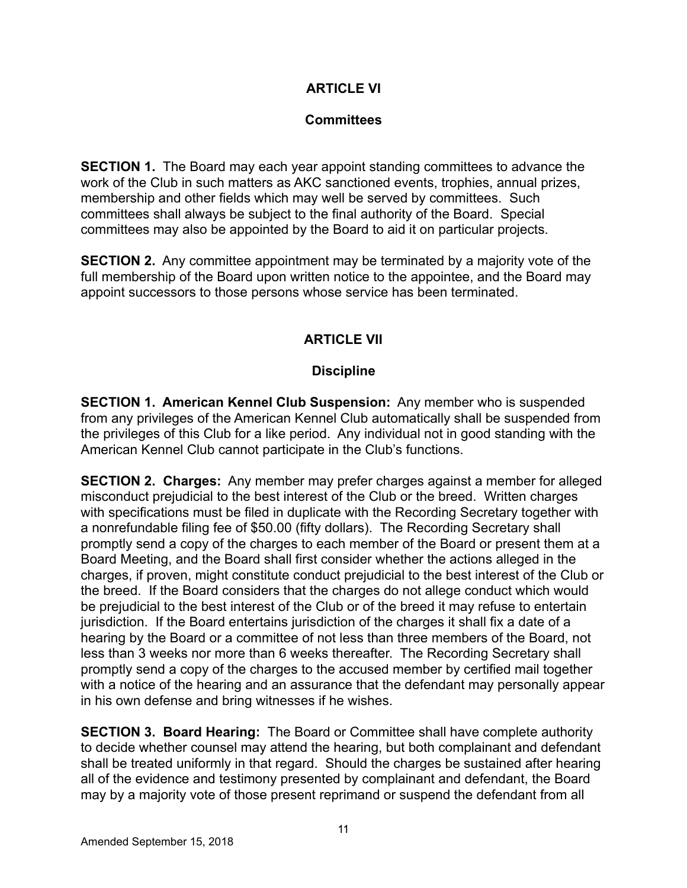## **ARTICLE VI**

#### **Committees**

**SECTION 1.** The Board may each year appoint standing committees to advance the work of the Club in such matters as AKC sanctioned events, trophies, annual prizes, membership and other fields which may well be served by committees. Such committees shall always be subject to the final authority of the Board. Special committees may also be appointed by the Board to aid it on particular projects.

**SECTION 2.** Any committee appointment may be terminated by a majority vote of the full membership of the Board upon written notice to the appointee, and the Board may appoint successors to those persons whose service has been terminated.

## **ARTICLE VII**

#### **Discipline**

**SECTION 1. American Kennel Club Suspension:** Any member who is suspended from any privileges of the American Kennel Club automatically shall be suspended from the privileges of this Club for a like period. Any individual not in good standing with the American Kennel Club cannot participate in the Club's functions.

**SECTION 2. Charges:** Any member may prefer charges against a member for alleged misconduct prejudicial to the best interest of the Club or the breed. Written charges with specifications must be filed in duplicate with the Recording Secretary together with a nonrefundable filing fee of \$50.00 (fifty dollars). The Recording Secretary shall promptly send a copy of the charges to each member of the Board or present them at a Board Meeting, and the Board shall first consider whether the actions alleged in the charges, if proven, might constitute conduct prejudicial to the best interest of the Club or the breed. If the Board considers that the charges do not allege conduct which would be prejudicial to the best interest of the Club or of the breed it may refuse to entertain jurisdiction. If the Board entertains jurisdiction of the charges it shall fix a date of a hearing by the Board or a committee of not less than three members of the Board, not less than 3 weeks nor more than 6 weeks thereafter. The Recording Secretary shall promptly send a copy of the charges to the accused member by certified mail together with a notice of the hearing and an assurance that the defendant may personally appear in his own defense and bring witnesses if he wishes.

**SECTION 3. Board Hearing:** The Board or Committee shall have complete authority to decide whether counsel may attend the hearing, but both complainant and defendant shall be treated uniformly in that regard. Should the charges be sustained after hearing all of the evidence and testimony presented by complainant and defendant, the Board may by a majority vote of those present reprimand or suspend the defendant from all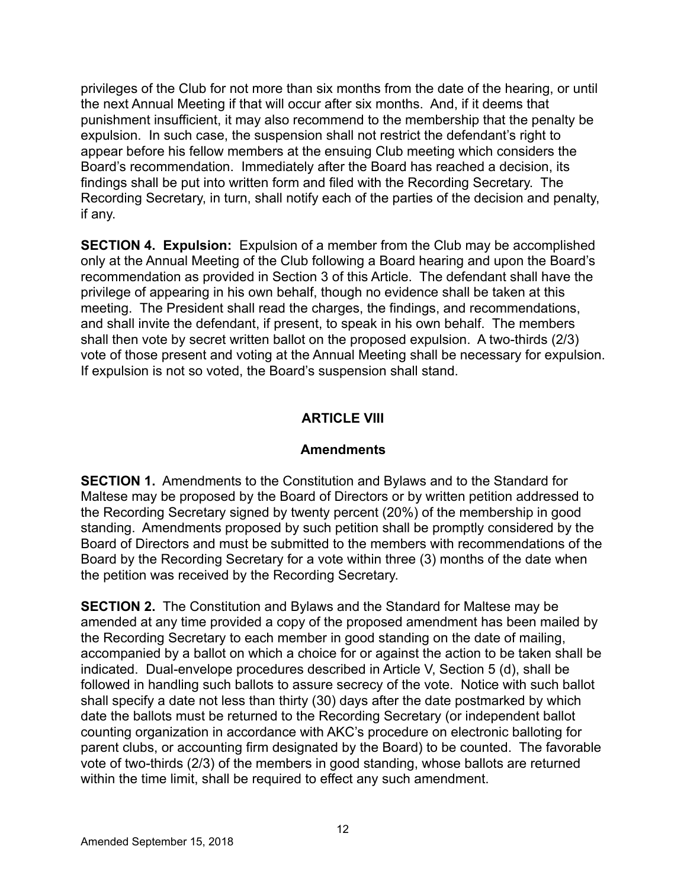privileges of the Club for not more than six months from the date of the hearing, or until the next Annual Meeting if that will occur after six months. And, if it deems that punishment insufficient, it may also recommend to the membership that the penalty be expulsion. In such case, the suspension shall not restrict the defendant's right to appear before his fellow members at the ensuing Club meeting which considers the Board's recommendation. Immediately after the Board has reached a decision, its findings shall be put into written form and filed with the Recording Secretary. The Recording Secretary, in turn, shall notify each of the parties of the decision and penalty, if any.

**SECTION 4. Expulsion:** Expulsion of a member from the Club may be accomplished only at the Annual Meeting of the Club following a Board hearing and upon the Board's recommendation as provided in Section 3 of this Article. The defendant shall have the privilege of appearing in his own behalf, though no evidence shall be taken at this meeting. The President shall read the charges, the findings, and recommendations, and shall invite the defendant, if present, to speak in his own behalf. The members shall then vote by secret written ballot on the proposed expulsion. A two-thirds (2/3) vote of those present and voting at the Annual Meeting shall be necessary for expulsion. If expulsion is not so voted, the Board's suspension shall stand.

# **ARTICLE VIII**

### **Amendments**

**SECTION 1.** Amendments to the Constitution and Bylaws and to the Standard for Maltese may be proposed by the Board of Directors or by written petition addressed to the Recording Secretary signed by twenty percent (20%) of the membership in good standing. Amendments proposed by such petition shall be promptly considered by the Board of Directors and must be submitted to the members with recommendations of the Board by the Recording Secretary for a vote within three (3) months of the date when the petition was received by the Recording Secretary.

**SECTION 2.** The Constitution and Bylaws and the Standard for Maltese may be amended at any time provided a copy of the proposed amendment has been mailed by the Recording Secretary to each member in good standing on the date of mailing, accompanied by a ballot on which a choice for or against the action to be taken shall be indicated. Dual-envelope procedures described in Article V, Section 5 (d), shall be followed in handling such ballots to assure secrecy of the vote. Notice with such ballot shall specify a date not less than thirty (30) days after the date postmarked by which date the ballots must be returned to the Recording Secretary (or independent ballot counting organization in accordance with AKC's procedure on electronic balloting for parent clubs, or accounting firm designated by the Board) to be counted. The favorable vote of two-thirds (2/3) of the members in good standing, whose ballots are returned within the time limit, shall be required to effect any such amendment.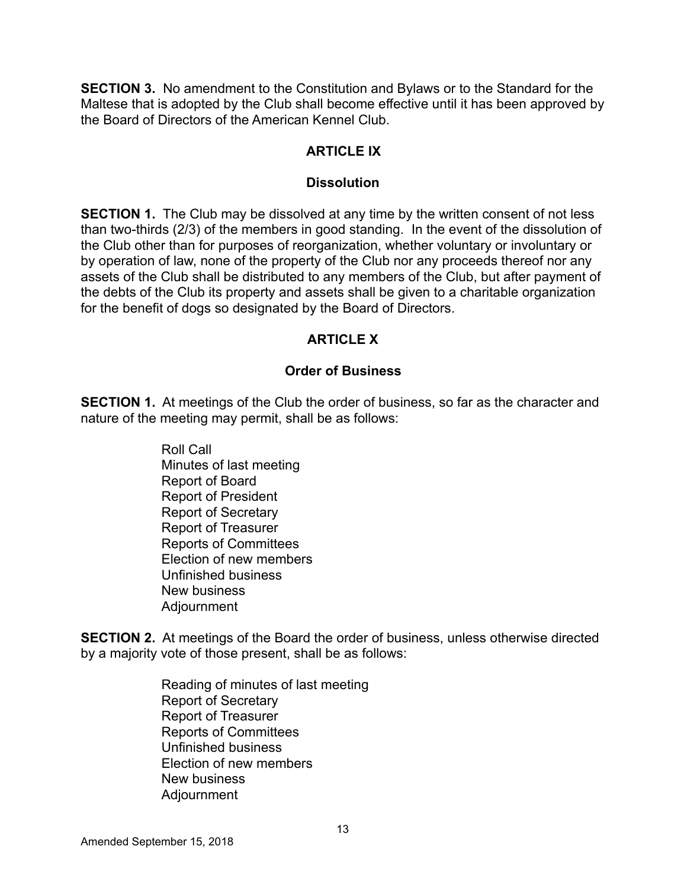**SECTION 3.** No amendment to the Constitution and Bylaws or to the Standard for the Maltese that is adopted by the Club shall become effective until it has been approved by the Board of Directors of the American Kennel Club.

## **ARTICLE IX**

#### **Dissolution**

**SECTION 1.** The Club may be dissolved at any time by the written consent of not less than two-thirds (2/3) of the members in good standing. In the event of the dissolution of the Club other than for purposes of reorganization, whether voluntary or involuntary or by operation of law, none of the property of the Club nor any proceeds thereof nor any assets of the Club shall be distributed to any members of the Club, but after payment of the debts of the Club its property and assets shall be given to a charitable organization for the benefit of dogs so designated by the Board of Directors.

## **ARTICLE X**

#### **Order of Business**

**SECTION 1.** At meetings of the Club the order of business, so far as the character and nature of the meeting may permit, shall be as follows:

> Roll Call Minutes of last meeting Report of Board Report of President Report of Secretary Report of Treasurer Reports of Committees Election of new members Unfinished business New business Adjournment

**SECTION 2.** At meetings of the Board the order of business, unless otherwise directed by a majority vote of those present, shall be as follows:

> Reading of minutes of last meeting Report of Secretary Report of Treasurer Reports of Committees Unfinished business Election of new members New business Adjournment